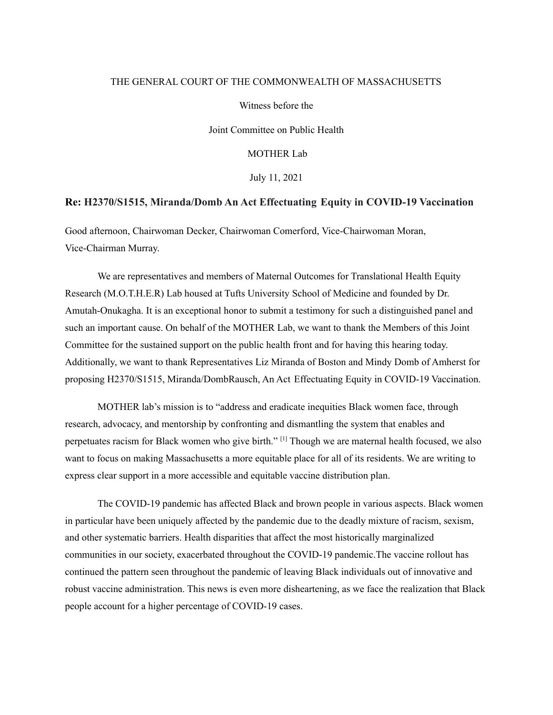## THE GENERAL COURT OF THE COMMONWEALTH OF MASSACHUSETTS

Witness before the

Joint Committee on Public Health

MOTHER Lab

July 11, 2021

## **Re: H2370/S1515, Miranda/Domb An Act Effectuating Equity in COVID-19 Vaccination**

Good afternoon, Chairwoman Decker, Chairwoman Comerford, Vice-Chairwoman Moran, Vice-Chairman Murray.

We are representatives and members of Maternal Outcomes for Translational Health Equity Research (M.O.T.H.E.R) Lab housed at Tufts University School of Medicine and founded by Dr. Amutah-Onukagha. It is an exceptional honor to submit a testimony for such a distinguished panel and such an important cause. On behalf of the MOTHER Lab, we want to thank the Members of this Joint Committee for the sustained support on the public health front and for having this hearing today. Additionally, we want to thank Representatives Liz Miranda of Boston and Mindy Domb of Amherst for proposing H2370/S1515, Miranda/DombRausch, An Act Effectuating Equity in COVID-19 Vaccination.

MOTHER lab's mission is to "address and eradicate inequities Black women face, through research, advocacy, and mentorship by confronting and dismantling the system that enables and perpetuates racism for Black women who give birth."<sup>[1]</sup> Though we are maternal health focused, we also want to focus on making Massachusetts a more equitable place for all of its residents. We are writing to express clear support in a more accessible and equitable vaccine distribution plan.

The COVID-19 pandemic has affected Black and brown people in various aspects. Black women in particular have been uniquely affected by the pandemic due to the deadly mixture of racism, sexism, and other systematic barriers. Health disparities that affect the most historically marginalized communities in our society, exacerbated throughout the COVID-19 pandemic.The vaccine rollout has continued the pattern seen throughout the pandemic of leaving Black individuals out of innovative and robust vaccine administration. This news is even more disheartening, as we face the realization that Black people account for a higher percentage of COVID-19 cases.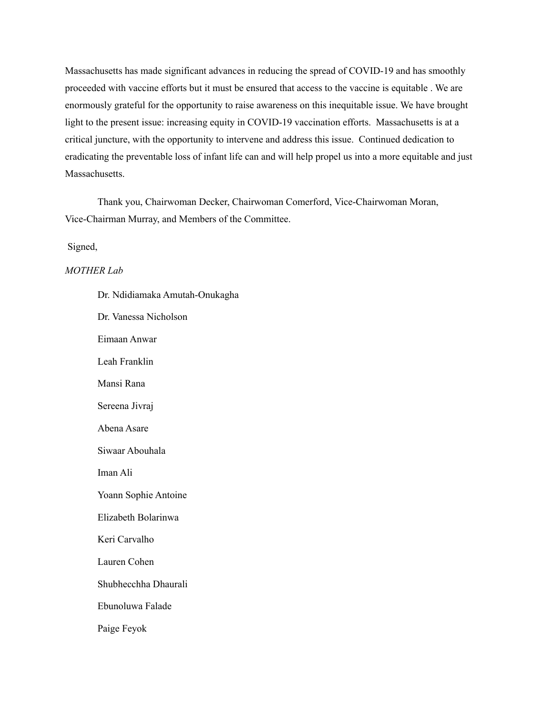Massachusetts has made significant advances in reducing the spread of COVID-19 and has smoothly proceeded with vaccine efforts but it must be ensured that access to the vaccine is equitable . We are enormously grateful for the opportunity to raise awareness on this inequitable issue. We have brought light to the present issue: increasing equity in COVID-19 vaccination efforts. Massachusetts is at a critical juncture, with the opportunity to intervene and address this issue. Continued dedication to eradicating the preventable loss of infant life can and will help propel us into a more equitable and just Massachusetts.

Thank you, Chairwoman Decker, Chairwoman Comerford, Vice-Chairwoman Moran, Vice-Chairman Murray, and Members of the Committee.

Signed,

## *MOTHER Lab*

| Dr. Ndidiamaka Amutah-Onukagha |
|--------------------------------|
| Dr. Vanessa Nicholson          |
| Eimaan Anwar                   |
| Leah Franklin                  |
| Mansi Rana                     |
| Sereena Jivraj                 |
| Abena Asare                    |
| Siwaar Abouhala                |
| Iman Ali                       |
| Yoann Sophie Antoine           |
| Elizabeth Bolarinwa            |
| Keri Carvalho                  |
| Lauren Cohen                   |
| Shubhecchha Dhaurali           |
| Ebunoluwa Falade               |
| Paige Feyok                    |
|                                |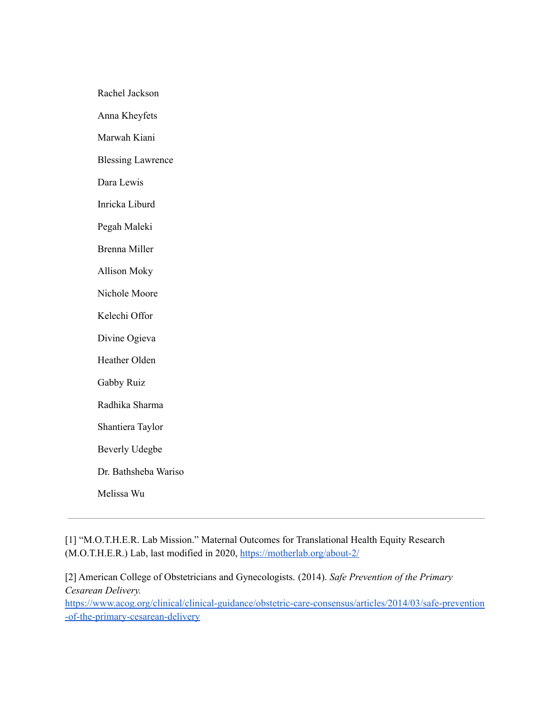Rachel Jackson

Anna Kheyfets

Marwah Kiani

Blessing Lawrence

Dara Lewis

Inricka Liburd

Pegah Maleki

Brenna Miller

Allison Moky

Nichole Moore

Kelechi Offor

Divine Ogieva

Heather Olden

Gabby Ruiz

Radhika Sharma

Shantiera Taylor

Beverly Udegbe

Dr. Bathsheba Wariso

Melissa Wu

[1] "M.O.T.H.E.R. Lab Mission." Maternal Outcomes for Translational Health Equity Research (M.O.T.H.E.R.) Lab, last modified in 2020, <https://motherlab.org/about-2/>

[2] American College of Obstetricians and Gynecologists. (2014). *Safe Prevention of the Primary Cesarean Delivery[.](https://www.acog.org/clinical/clinical-guidance/obstetric-care-consensus/articles/2014/03/safe-prevention-of-the-primary-cesarean-delivery)*

[https://www.acog.org/clinical/clinical-guidance/obstetric-care-consensus/articles/2014/03/safe-prevention](https://www.acog.org/clinical/clinical-guidance/obstetric-care-consensus/articles/2014/03/safe-prevention-of-the-primary-cesarean-delivery) [-of-the-primary-cesarean-delivery](https://www.acog.org/clinical/clinical-guidance/obstetric-care-consensus/articles/2014/03/safe-prevention-of-the-primary-cesarean-delivery)